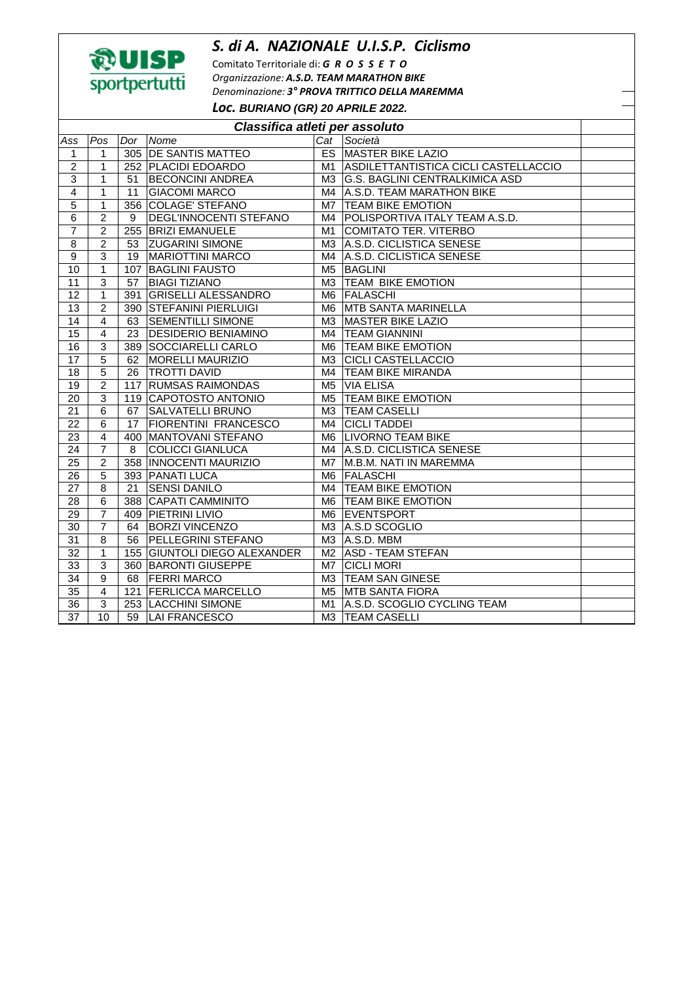## *S. di A. NAZIONALE U.I.S.P. Ciclismo*



Comitato Territoriale di: *G R O S S E T O Organizzazione: A.S.D. TEAM MARATHON BIKE Denominazione: 3° PROVA TRITTICO DELLA MAREMMA Loc.* **BURIANO (GR) 20 APRILE 2022.** 

| Classifica atleti per assoluto |                 |     |                               |                |                                         |  |  |  |
|--------------------------------|-----------------|-----|-------------------------------|----------------|-----------------------------------------|--|--|--|
| Ass                            | Pos             | Dor | Nome                          | Cat            | Società                                 |  |  |  |
| 1                              | 1               |     | 305 DE SANTIS MATTEO          |                | <b>ES MASTER BIKE LAZIO</b>             |  |  |  |
| $\overline{\mathbf{c}}$        | 1               |     | 252 PLACIDI EDOARDO           |                | M1 ASDILETTANTISTICA CICLI CASTELLACCIO |  |  |  |
| 3                              | 1               | 51  | <b>BECONCINI ANDREA</b>       | M3             | <b>G.S. BAGLINI CENTRALKIMICA ASD</b>   |  |  |  |
| $\overline{4}$                 | 1               | 11  | <b>GIACOMI MARCO</b>          | M4             | A.S.D. TEAM MARATHON BIKE               |  |  |  |
| 5                              | 1               |     | 356 COLAGE' STEFANO           | M7             | <b>TEAM BIKE EMOTION</b>                |  |  |  |
| 6                              | $\overline{2}$  | 9   | <b>DEGL'INNOCENTI STEFANO</b> | M4             | POLISPORTIVA ITALY TEAM A.S.D.          |  |  |  |
| $\overline{7}$                 | $\overline{2}$  |     | 255 BRIZI EMANUELE            | M1             | <b>COMITATO TER. VITERBO</b>            |  |  |  |
| 8                              | $\overline{2}$  | 53  | <b>ZUGARINI SIMONE</b>        | M3             | A.S.D. CICLISTICA SENESE                |  |  |  |
| 9                              | 3               | 19  | <b>MARIOTTINI MARCO</b>       | M4             | A.S.D. CICLISTICA SENESE                |  |  |  |
| 10                             | 1               |     | 107 BAGLINI FAUSTO            | M <sub>5</sub> | <b>BAGLINI</b>                          |  |  |  |
| 11                             | 3               | 57  | <b>BIAGI TIZIANO</b>          | M <sub>3</sub> | <b>TEAM BIKE EMOTION</b>                |  |  |  |
| $\overline{12}$                | 1               | 391 | <b>GRISELLI ALESSANDRO</b>    | M <sub>6</sub> | FALASCHI                                |  |  |  |
| $\overline{13}$                | $\overline{2}$  |     | 390 STEFANINI PIERLUIGI       | M6             | MTB SANTA MARINELLA                     |  |  |  |
| $\overline{14}$                | $\overline{4}$  | 63  | <b>SEMENTILLI SIMONE</b>      | M <sub>3</sub> | <b>MASTER BIKE LAZIO</b>                |  |  |  |
| 15                             | $\overline{4}$  | 23  | <b>DESIDERIO BENIAMINO</b>    | M4             | <b>TEAM GIANNINI</b>                    |  |  |  |
| 16                             | 3               |     | 389 SOCCIARELLI CARLO         | M6             | <b>TEAM BIKE EMOTION</b>                |  |  |  |
| 17                             | 5               | 62  | <b>MORELLI MAURIZIO</b>       | МЗ             | <b>CICLI CASTELLACCIO</b>               |  |  |  |
| 18                             | 5               | 26  | <b>TROTTI DAVID</b>           | M4             | <b>TEAM BIKE MIRANDA</b>                |  |  |  |
| 19                             | 2               | 117 | <b>RUMSAS RAIMONDAS</b>       | M <sub>5</sub> | <b>VIA ELISA</b>                        |  |  |  |
| 20                             | 3               |     | 119 CAPOTOSTO ANTONIO         | M <sub>5</sub> | <b>TEAM BIKE EMOTION</b>                |  |  |  |
| 21                             | 6               | 67  | <b>SALVATELLI BRUNO</b>       | M3             | <b>TEAM CASELLI</b>                     |  |  |  |
| 22                             | 6               | 17  | <b>FIORENTINI FRANCESCO</b>   | M4             | <b>CICLI TADDEI</b>                     |  |  |  |
| $\overline{23}$                | $\overline{4}$  |     | 400 MANTOVANI STEFANO         |                | M6 LIVORNO TEAM BIKE                    |  |  |  |
| 24                             | $\overline{7}$  | 8   | <b>COLICCI GIANLUCA</b>       |                | M4 A.S.D. CICLISTICA SENESE             |  |  |  |
| 25                             | $\overline{c}$  |     | 358   INNOCENTI MAURIZIO      | M7             | M.B.M. NATI IN MAREMMA                  |  |  |  |
| 26                             | 5               |     | 393 PANATI LUCA               | M <sub>6</sub> | <b>FALASCHI</b>                         |  |  |  |
| 27                             | 8               | 21  | <b>SENSI DANILO</b>           | M4             | <b>TEAM BIKE EMOTION</b>                |  |  |  |
| 28                             | 6               |     | 388 CAPATI CAMMINITO          |                | M6 TEAM BIKE EMOTION                    |  |  |  |
| 29                             | 7               |     | 409 PIETRINI LIVIO            | M6             | EVENTSPORT                              |  |  |  |
| 30                             | 7               | 64  | <b>BORZI VINCENZO</b>         | M3             | A.S.D SCOGLIO                           |  |  |  |
| 31                             | 8               | 56  | <b>PELLEGRINI STEFANO</b>     | M <sub>3</sub> | A.S.D. MBM                              |  |  |  |
| $\overline{32}$                | 1               |     | 155 GIUNTOLI DIEGO ALEXANDER  | M <sub>2</sub> | <b>ASD - TEAM STEFAN</b>                |  |  |  |
| $\overline{33}$                | $\overline{3}$  |     | 360 BARONTI GIUSEPPE          | M7             | <b>CICLI MORI</b>                       |  |  |  |
| 34                             | 9               | 68  | <b>FERRI MARCO</b>            | M <sub>3</sub> | <b>TEAM SAN GINESE</b>                  |  |  |  |
| 35                             | $\overline{4}$  |     | 121 FERLICCA MARCELLO         | M5             | <b>MTB SANTA FIORA</b>                  |  |  |  |
| 36                             | 3               |     | 253 LACCHINI SIMONE           | M1             | A.S.D. SCOGLIO CYCLING TEAM             |  |  |  |
| $\overline{37}$                | $\overline{10}$ |     | 59   LAI FRANCESCO            | M3             | <b>TEAM CASELLI</b>                     |  |  |  |